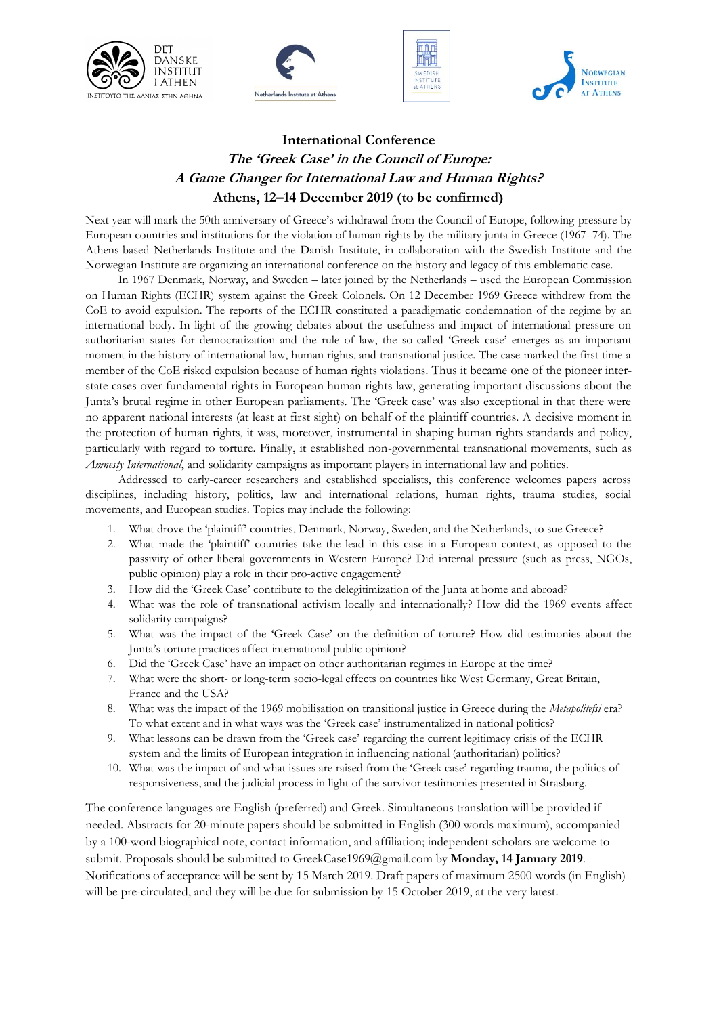







## **International Conference The 'Greek Case' in the Council of Europe: A Game Changer for International Law and Human Rights? Athens, 12–14 December 2019 (to be confirmed)**

Next year will mark the 50th anniversary of Greece's withdrawal from the Council of Europe, following pressure by European countries and institutions for the violation of human rights by the military junta in Greece (1967–74). The Athens-based Netherlands Institute and the Danish Institute, in collaboration with the Swedish Institute and the Norwegian Institute are organizing an international conference on the history and legacy of this emblematic case.

In 1967 Denmark, Norway, and Sweden – later joined by the Netherlands – used the European Commission on Human Rights (ECHR) system against the Greek Colonels. On 12 December 1969 Greece withdrew from the CoE to avoid expulsion. The reports of the ECHR constituted a paradigmatic condemnation of the regime by an international body. In light of the growing debates about the usefulness and impact of international pressure on authoritarian states for democratization and the rule of law, the so-called 'Greek case' emerges as an important moment in the history of international law, human rights, and transnational justice. The case marked the first time a member of the CoE risked expulsion because of human rights violations. Thus it became one of the pioneer interstate cases over fundamental rights in European human rights law, generating important discussions about the Junta's brutal regime in other European parliaments. The 'Greek case' was also exceptional in that there were no apparent national interests (at least at first sight) on behalf of the plaintiff countries. A decisive moment in the protection of human rights, it was, moreover, instrumental in shaping human rights standards and policy, particularly with regard to torture. Finally, it established non-governmental transnational movements, such as *Amnesty International*, and solidarity campaigns as important players in international law and politics.

Addressed to early-career researchers and established specialists, this conference welcomes papers across disciplines, including history, politics, law and international relations, human rights, trauma studies, social movements, and European studies. Topics may include the following:

- 1. What drove the 'plaintiff' countries, Denmark, Norway, Sweden, and the Netherlands, to sue Greece?
- 2. What made the 'plaintiff' countries take the lead in this case in a European context, as opposed to the passivity of other liberal governments in Western Europe? Did internal pressure (such as press, NGOs, public opinion) play a role in their pro-active engagement?
- 3. How did the 'Greek Case' contribute to the delegitimization of the Junta at home and abroad?
- 4. What was the role of transnational activism locally and internationally? How did the 1969 events affect solidarity campaigns?
- 5. What was the impact of the 'Greek Case' on the definition of torture? How did testimonies about the Junta's torture practices affect international public opinion?
- 6. Did the 'Greek Case' have an impact on other authoritarian regimes in Europe at the time?
- 7. What were the short- or long-term socio-legal effects on countries like West Germany, Great Britain, France and the USA?
- 8. What was the impact of the 1969 mobilisation on transitional justice in Greece during the *Metapolitefsi* era? To what extent and in what ways was the 'Greek case' instrumentalized in national politics?
- 9. What lessons can be drawn from the 'Greek case' regarding the current legitimacy crisis of the ECHR system and the limits of European integration in influencing national (authoritarian) politics?
- 10. What was the impact of and what issues are raised from the 'Greek case' regarding trauma, the politics of responsiveness, and the judicial process in light of the survivor testimonies presented in Strasburg.

The conference languages are English (preferred) and Greek. Simultaneous translation will be provided if needed. Abstracts for 20-minute papers should be submitted in English (300 words maximum), accompanied by a 100-word biographical note, contact information, and affiliation; independent scholars are welcome to submit. Proposals should be submitted to GreekCase1969@gmail.com by **Monday, 14 January 2019**. Notifications of acceptance will be sent by 15 March 2019. Draft papers of maximum 2500 words (in English) will be pre-circulated, and they will be due for submission by 15 October 2019, at the very latest.